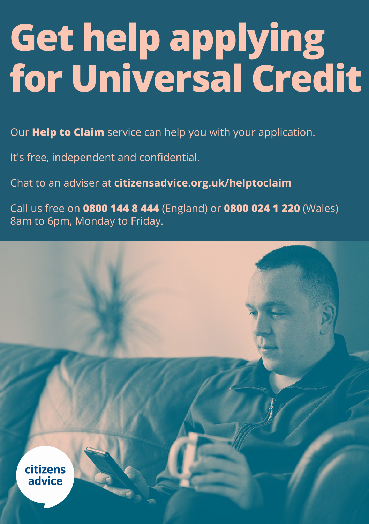# **Get help applying for Universal Credit**

Our **Help to Claim** service can help you with your application.

It's free, independent and confidential.

Chat to an adviser at **citizensadvice.org.uk/helptoclaim**

Call us free on **0800 144 8 444** (England) or **0800 024 1 220** (Wales) 8am to 6pm, Monday to Friday.